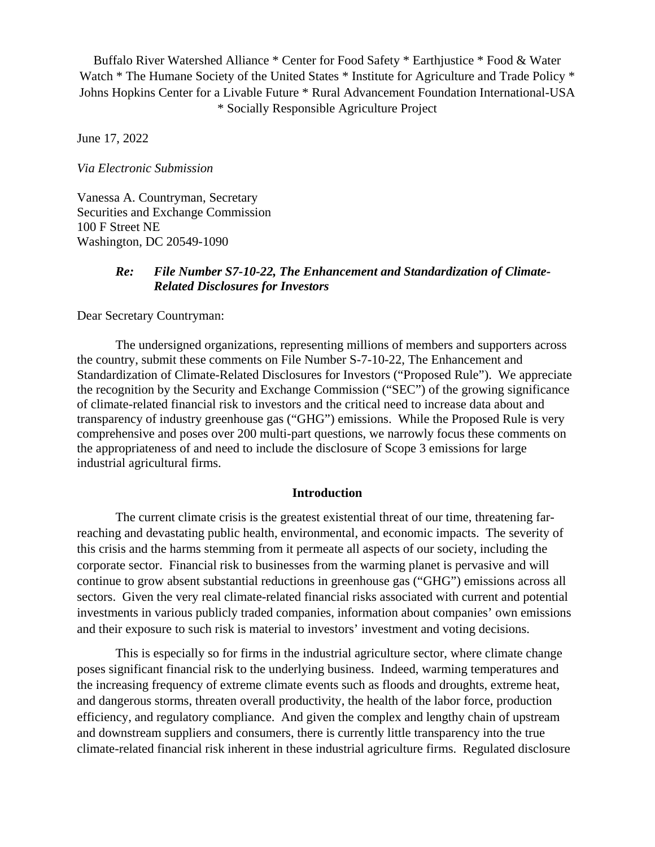Buffalo River Watershed Alliance \* Center for Food Safety \* Earthjustice \* Food & Water Watch \* The Humane Society of the United States \* Institute for Agriculture and Trade Policy \* Johns Hopkins Center for a Livable Future \* Rural Advancement Foundation International-USA \* Socially Responsible Agriculture Project

June 17, 2022

*Via Electronic Submission*

Vanessa A. Countryman, Secretary Securities and Exchange Commission 100 F Street NE Washington, DC 20549-1090

#### *Re: File Number S7-10-22, The Enhancement and Standardization of Climate-Related Disclosures for Investors*

Dear Secretary Countryman:

The undersigned organizations, representing millions of members and supporters across the country, submit these comments on File Number S-7-10-22, The Enhancement and Standardization of Climate-Related Disclosures for Investors ("Proposed Rule"). We appreciate the recognition by the Security and Exchange Commission ("SEC") of the growing significance of climate-related financial risk to investors and the critical need to increase data about and transparency of industry greenhouse gas ("GHG") emissions. While the Proposed Rule is very comprehensive and poses over 200 multi-part questions, we narrowly focus these comments on the appropriateness of and need to include the disclosure of Scope 3 emissions for large industrial agricultural firms.

#### **Introduction**

The current climate crisis is the greatest existential threat of our time, threatening farreaching and devastating public health, environmental, and economic impacts. The severity of this crisis and the harms stemming from it permeate all aspects of our society, including the corporate sector. Financial risk to businesses from the warming planet is pervasive and will continue to grow absent substantial reductions in greenhouse gas ("GHG") emissions across all sectors. Given the very real climate-related financial risks associated with current and potential investments in various publicly traded companies, information about companies' own emissions and their exposure to such risk is material to investors' investment and voting decisions.

This is especially so for firms in the industrial agriculture sector, where climate change poses significant financial risk to the underlying business. Indeed, warming temperatures and the increasing frequency of extreme climate events such as floods and droughts, extreme heat, and dangerous storms, threaten overall productivity, the health of the labor force, production efficiency, and regulatory compliance. And given the complex and lengthy chain of upstream and downstream suppliers and consumers, there is currently little transparency into the true climate-related financial risk inherent in these industrial agriculture firms. Regulated disclosure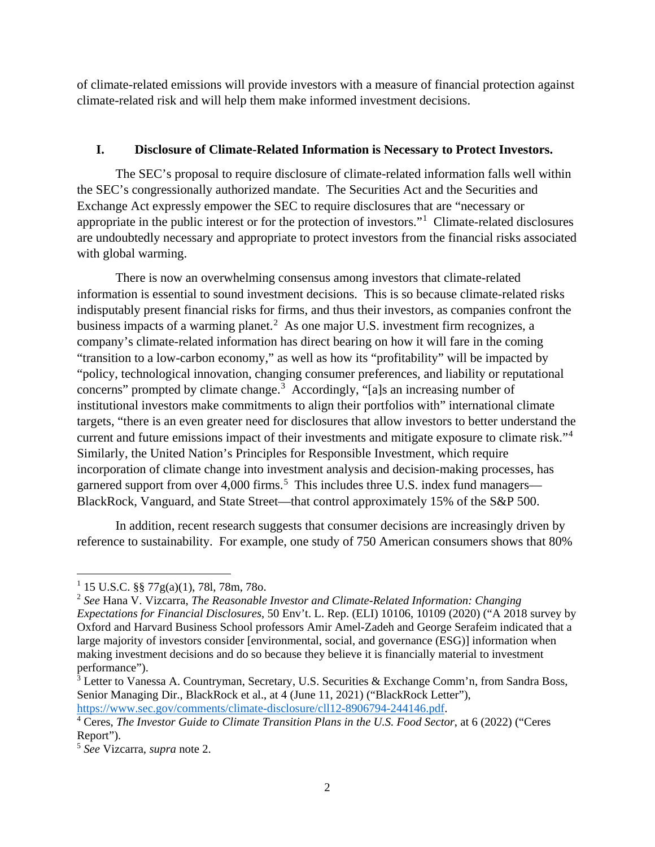of climate-related emissions will provide investors with a measure of financial protection against climate-related risk and will help them make informed investment decisions.

# **I. Disclosure of Climate-Related Information is Necessary to Protect Investors.**

The SEC's proposal to require disclosure of climate-related information falls well within the SEC's congressionally authorized mandate. The Securities Act and the Securities and Exchange Act expressly empower the SEC to require disclosures that are "necessary or appropriate in the public interest or for the protection of investors."<sup>[1](#page-1-0)</sup> Climate-related disclosures are undoubtedly necessary and appropriate to protect investors from the financial risks associated with global warming.

There is now an overwhelming consensus among investors that climate-related information is essential to sound investment decisions. This is so because climate-related risks indisputably present financial risks for firms, and thus their investors, as companies confront the business impacts of a warming planet. [2](#page-1-1) As one major U.S. investment firm recognizes, a company's climate-related information has direct bearing on how it will fare in the coming "transition to a low-carbon economy," as well as how its "profitability" will be impacted by "policy, technological innovation, changing consumer preferences, and liability or reputational concerns" prompted by climate change.<sup>[3](#page-1-2)</sup> Accordingly, "[a]s an increasing number of institutional investors make commitments to align their portfolios with" international climate targets, "there is an even greater need for disclosures that allow investors to better understand the current and future emissions impact of their investments and mitigate exposure to climate risk."[4](#page-1-3) Similarly, the United Nation's Principles for Responsible Investment, which require incorporation of climate change into investment analysis and decision-making processes, has garnered support from over 4,000 firms.<sup>[5](#page-1-4)</sup> This includes three U.S. index fund managers— BlackRock, Vanguard, and State Street—that control approximately 15% of the S&P 500.

In addition, recent research suggests that consumer decisions are increasingly driven by reference to sustainability. For example, one study of 750 American consumers shows that 80%

<span id="page-1-0"></span> $1\,$  15 U.S.C. §§ 77g(a)(1), 78l, 78m, 78o.

<span id="page-1-1"></span><sup>2</sup> *See* Hana V. Vizcarra, *The Reasonable Investor and Climate-Related Information: Changing Expectations for Financial Disclosures*, 50 Env't. L. Rep. (ELI) 10106, 10109 (2020) ("A 2018 survey by Oxford and Harvard Business School professors Amir Amel-Zadeh and George Serafeim indicated that a large majority of investors consider [environmental, social, and governance (ESG)] information when making investment decisions and do so because they believe it is financially material to investment

<span id="page-1-2"></span><sup>&</sup>lt;sup>3</sup> Letter to Vanessa A. Countryman, Secretary, U.S. Securities & Exchange Comm'n, from Sandra Boss, Senior Managing Dir., BlackRock et al., at 4 (June 11, 2021) ("BlackRock Letter"),

<span id="page-1-3"></span>[https://www.sec.gov/comments/climate-disclosure/cll12-8906794-244146.pdf.](https://www.sec.gov/comments/climate-disclosure/cll12-8906794-244146.pdf) [4](https://www.sec.gov/comments/climate-disclosure/cll12-8906794-244146.pdf) Ceres, *The Investor Guide to Climate Transition Plans in the U.S. Food Sector*, at 6 (2022) ("Ceres Report").

<span id="page-1-4"></span><sup>5</sup> *See* Vizcarra, *supra* note 2.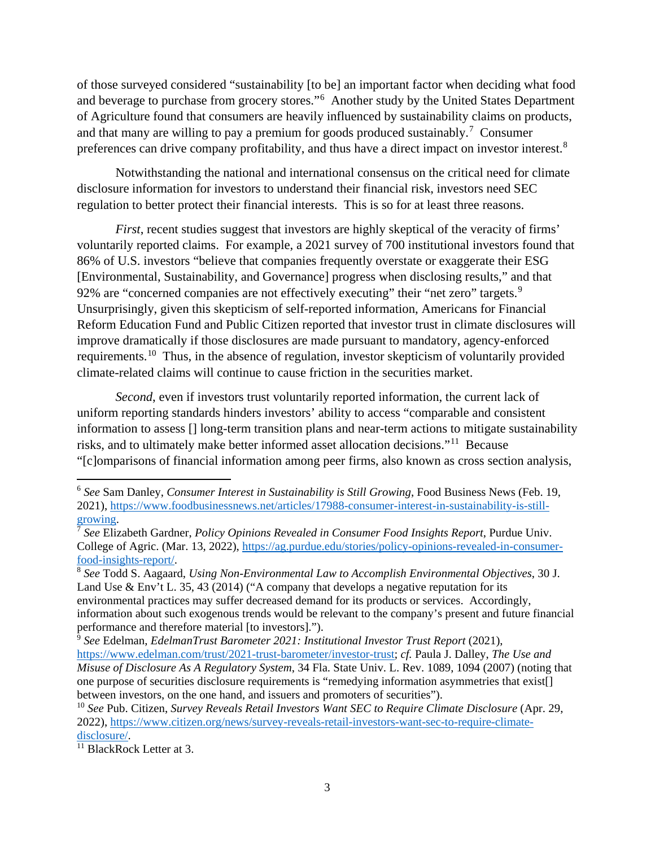of those surveyed considered "sustainability [to be] an important factor when deciding what food and beverage to purchase from grocery stores."[6](#page-2-0) Another study by the United States Department of Agriculture found that consumers are heavily influenced by sustainability claims on products, and that many are willing to pay a premium for goods produced sustainably.<sup>[7](#page-2-1)</sup> Consumer preferences can drive company profitability, and thus have a direct impact on investor interest.[8](#page-2-2)

Notwithstanding the national and international consensus on the critical need for climate disclosure information for investors to understand their financial risk, investors need SEC regulation to better protect their financial interests. This is so for at least three reasons.

*First*, recent studies suggest that investors are highly skeptical of the veracity of firms' voluntarily reported claims. For example, a 2021 survey of 700 institutional investors found that 86% of U.S. investors "believe that companies frequently overstate or exaggerate their ESG [Environmental, Sustainability, and Governance] progress when disclosing results," and that [9](#page-2-3)2% are "concerned companies are not effectively executing" their "net zero" targets. $9$ Unsurprisingly, given this skepticism of self-reported information, Americans for Financial Reform Education Fund and Public Citizen reported that investor trust in climate disclosures will improve dramatically if those disclosures are made pursuant to mandatory, agency-enforced requirements.<sup>[10](#page-2-4)</sup> Thus, in the absence of regulation, investor skepticism of voluntarily provided climate-related claims will continue to cause friction in the securities market.

*Second*, even if investors trust voluntarily reported information, the current lack of uniform reporting standards hinders investors' ability to access "comparable and consistent information to assess [] long-term transition plans and near-term actions to mitigate sustainability risks, and to ultimately make better informed asset allocation decisions."[11](#page-2-5) Because "[c]omparisons of financial information among peer firms, also known as cross section analysis,

<span id="page-2-0"></span><sup>6</sup> *See* Sam Danley, *Consumer Interest in Sustainability is Still Growing*, Food Business News (Feb. 19, 2021), [https://www.foodbusinessnews.net/articles/17988-consumer-interest-in-sustainability-is-still](https://www.foodbusinessnews.net/articles/17988-consumer-interest-in-sustainability-is-still-growing)[growing.](https://www.foodbusinessnews.net/articles/17988-consumer-interest-in-sustainability-is-still-growing)

<span id="page-2-1"></span><sup>7</sup> *See* Elizabeth Gardner, *Policy Opinions Revealed in Consumer Food Insights Report*, Purdue Univ. College of Agric. (Mar. 13, 2022), [https://ag.purdue.edu/stories/policy-opinions-revealed-in-consumer](https://ag.purdue.edu/stories/policy-opinions-revealed-in-consumer-food-insights-report/)[food-insights-report/.](https://ag.purdue.edu/stories/policy-opinions-revealed-in-consumer-food-insights-report/)

<span id="page-2-2"></span><sup>8</sup> *See* Todd S. Aagaard, *Using Non-Environmental Law to Accomplish Environmental Objectives*, 30 J. Land Use  $\&$  Env't L, 35, 43 (2014) ("A company that develops a negative reputation for its environmental practices may suffer decreased demand for its products or services. Accordingly, information about such exogenous trends would be relevant to the company's present and future financial performance and therefore material [to investors].").

<span id="page-2-3"></span><sup>&</sup>lt;sup>9</sup> See Edelman, *EdelmanTrust Barometer 2021: Institutional Investor Trust Report* (2021), [https://www.edelman.com/trust/2021-trust-barometer/investor-trust;](https://www.edelman.com/trust/2021-trust-barometer/investor-trust) *cf.* Paula J. Dalley, *The Use and Misuse of Disclosure As A Regulatory System*, 34 Fla. State Univ. L. Rev. 1089, 1094 (2007) (noting that one purpose of securities disclosure requirements is "remedying information asymmetries that exist[] between investors, on the one hand, and issuers and promoters of securities").

<span id="page-2-4"></span><sup>10</sup> *See* Pub. Citizen, *Survey Reveals Retail Investors Want SEC to Require Climate Disclosure* (Apr. 29, 2022), [https://www.citizen.org/news/survey-reveals-retail-investors-want-sec-to-require-climate](https://www.citizen.org/news/survey-reveals-retail-investors-want-sec-to-require-climate-disclosure/)[disclosure/.](https://www.citizen.org/news/survey-reveals-retail-investors-want-sec-to-require-climate-disclosure/)

<span id="page-2-5"></span> $\overline{^{11}$  BlackRock Letter at 3.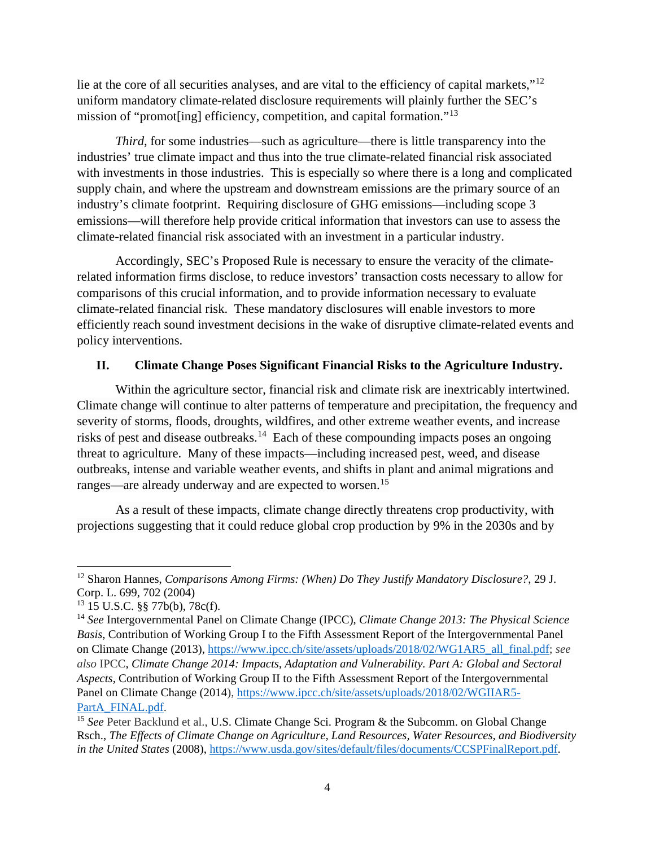lie at the core of all securities analyses, and are vital to the efficiency of capital markets,"<sup>[12](#page-3-0)</sup> uniform mandatory climate-related disclosure requirements will plainly further the SEC's mission of "promot[ing] efficiency, competition, and capital formation."<sup>[13](#page-3-1)</sup>

*Third*, for some industries—such as agriculture—there is little transparency into the industries' true climate impact and thus into the true climate-related financial risk associated with investments in those industries. This is especially so where there is a long and complicated supply chain, and where the upstream and downstream emissions are the primary source of an industry's climate footprint. Requiring disclosure of GHG emissions—including scope 3 emissions—will therefore help provide critical information that investors can use to assess the climate-related financial risk associated with an investment in a particular industry.

Accordingly, SEC's Proposed Rule is necessary to ensure the veracity of the climaterelated information firms disclose, to reduce investors' transaction costs necessary to allow for comparisons of this crucial information, and to provide information necessary to evaluate climate-related financial risk. These mandatory disclosures will enable investors to more efficiently reach sound investment decisions in the wake of disruptive climate-related events and policy interventions.

#### **II. Climate Change Poses Significant Financial Risks to the Agriculture Industry.**

Within the agriculture sector, financial risk and climate risk are inextricably intertwined. Climate change will continue to alter patterns of temperature and precipitation, the frequency and severity of storms, floods, droughts, wildfires, and other extreme weather events, and increase risks of pest and disease outbreaks.<sup>[14](#page-3-2)</sup> Each of these compounding impacts poses an ongoing threat to agriculture. Many of these impacts—including increased pest, weed, and disease outbreaks, intense and variable weather events, and shifts in plant and animal migrations and ranges—are already underway and are expected to worsen.<sup>[15](#page-3-3)</sup>

As a result of these impacts, climate change directly threatens crop productivity, with projections suggesting that it could reduce global crop production by 9% in the 2030s and by

<span id="page-3-0"></span><sup>12</sup> Sharon Hannes, *Comparisons Among Firms: (When) Do They Justify Mandatory Disclosure?*, 29 J. Corp. L. 699, 702 (2004)

<span id="page-3-1"></span><sup>13</sup> 15 U.S.C. §§ 77b(b), 78c(f).

<span id="page-3-2"></span><sup>14</sup> *See* Intergovernmental Panel on Climate Change (IPCC), *Climate Change 2013: The Physical Science Basis*, Contribution of Working Group I to the Fifth Assessment Report of the Intergovernmental Panel on Climate Change (2013), [https://www.ipcc.ch/site/assets/uploads/2018/02/WG1AR5\\_all\\_final.pdf;](https://www.ipcc.ch/site/assets/uploads/2018/02/WG1AR5_all_final.pdf) *see also* IPCC, *Climate Change 2014: Impacts, Adaptation and Vulnerability. Part A: Global and Sectoral Aspects*, Contribution of Working Group II to the Fifth Assessment Report of the Intergovernmental Panel on Climate Change (2014), [https://www.ipcc.ch/site/assets/uploads/2018/02/WGIIAR5-](https://www.ipcc.ch/site/assets/uploads/2018/02/WGIIAR5-PartA_FINAL.pdf) [PartA\\_FINAL.pdf.](https://www.ipcc.ch/site/assets/uploads/2018/02/WGIIAR5-PartA_FINAL.pdf)

<span id="page-3-3"></span><sup>&</sup>lt;sup>15</sup> See Peter Backlund et al., U.S. Climate Change Sci. Program & the Subcomm. on Global Change Rsch., *The Effects of Climate Change on Agriculture, Land Resources, Water Resources, and Biodiversity in the United States* (2008), [https://www.usda.gov/sites/default/files/documents/CCSPFinalReport.pdf.](https://www.usda.gov/sites/default/files/documents/CCSPFinalReport.pdf)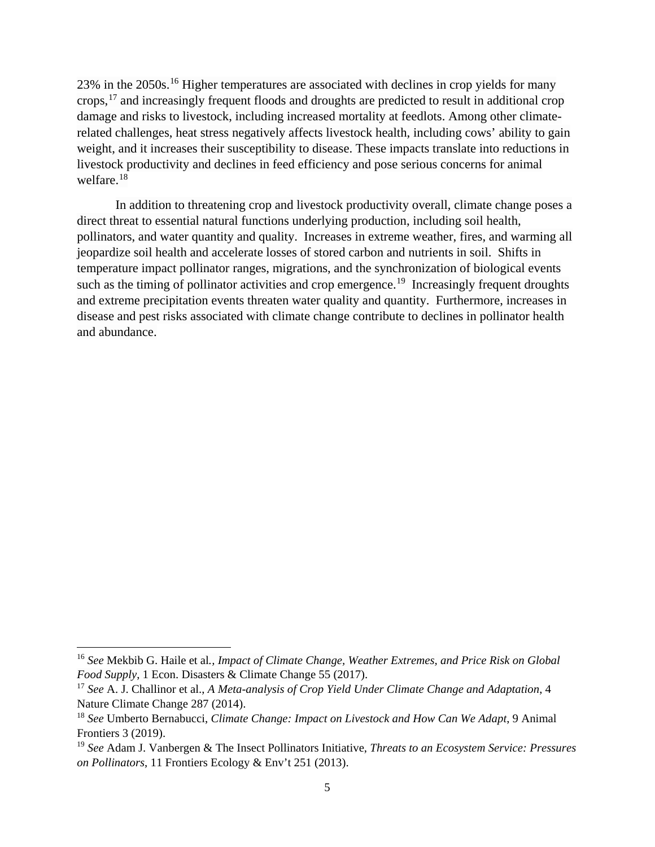23% in the 2050s.[16](#page-4-0) Higher temperatures are associated with declines in crop yields for many crops,[17](#page-4-1) and increasingly frequent floods and droughts are predicted to result in additional crop damage and risks to livestock, including increased mortality at feedlots. Among other climaterelated challenges, heat stress negatively affects livestock health, including cows' ability to gain weight, and it increases their susceptibility to disease. These impacts translate into reductions in livestock productivity and declines in feed efficiency and pose serious concerns for animal welfare.[18](#page-4-2)

In addition to threatening crop and livestock productivity overall, climate change poses a direct threat to essential natural functions underlying production, including soil health, pollinators, and water quantity and quality. Increases in extreme weather, fires, and warming all jeopardize soil health and accelerate losses of stored carbon and nutrients in soil. Shifts in temperature impact pollinator ranges, migrations, and the synchronization of biological events such as the timing of pollinator activities and crop emergence.<sup>[19](#page-4-3)</sup> Increasingly frequent droughts and extreme precipitation events threaten water quality and quantity. Furthermore, increases in disease and pest risks associated with climate change contribute to declines in pollinator health and abundance.

<span id="page-4-0"></span><sup>16</sup> *See* Mekbib G. Haile et al*., Impact of Climate Change, Weather Extremes, and Price Risk on Global Food Supply*, 1 Econ. Disasters & Climate Change 55 (2017).

<span id="page-4-1"></span><sup>17</sup> *See* A. J. Challinor et al., *A Meta-analysis of Crop Yield Under Climate Change and Adaptation*, 4 Nature Climate Change 287 (2014).

<span id="page-4-2"></span><sup>18</sup> *See* Umberto Bernabucci, *Climate Change: Impact on Livestock and How Can We Adapt*, 9 Animal Frontiers 3 (2019).

<span id="page-4-3"></span><sup>19</sup> *See* Adam J. Vanbergen & The Insect Pollinators Initiative, *Threats to an Ecosystem Service: Pressures on Pollinators*, 11 Frontiers Ecology & Env't 251 (2013).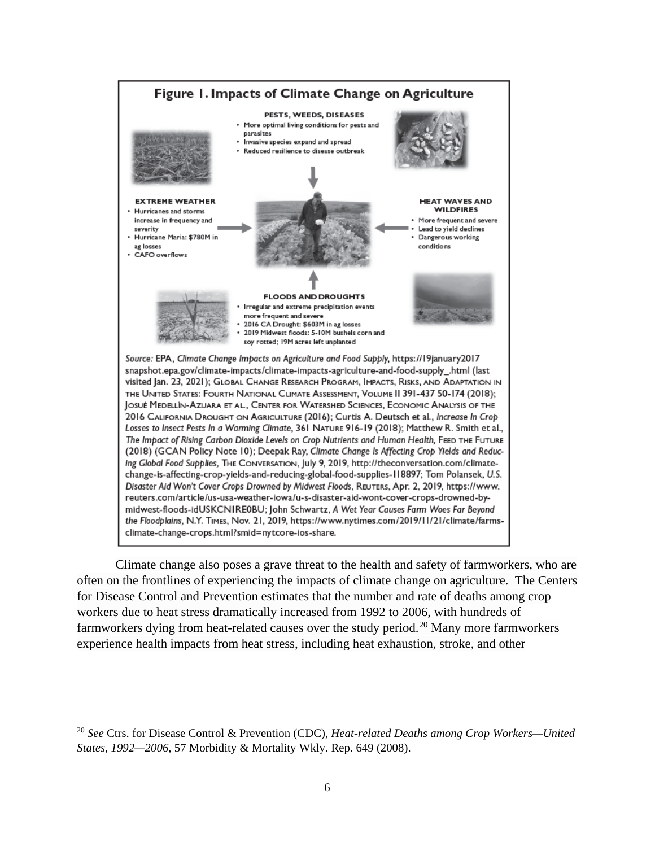

Climate change also poses a grave threat to the health and safety of farmworkers, who are often on the frontlines of experiencing the impacts of climate change on agriculture. The Centers for Disease Control and Prevention estimates that the number and rate of deaths among crop workers due to heat stress dramatically increased from 1992 to 2006, with hundreds of farmworkers dying from heat-related causes over the study period.<sup>[20](#page-5-0)</sup> Many more farmworkers experience health impacts from heat stress, including heat exhaustion, stroke, and other

<span id="page-5-0"></span><sup>20</sup> *See* Ctrs. for Disease Control & Prevention (CDC), *Heat-related Deaths among Crop Workers—United States, 1992—2006*, 57 Morbidity & Mortality Wkly. Rep. 649 (2008).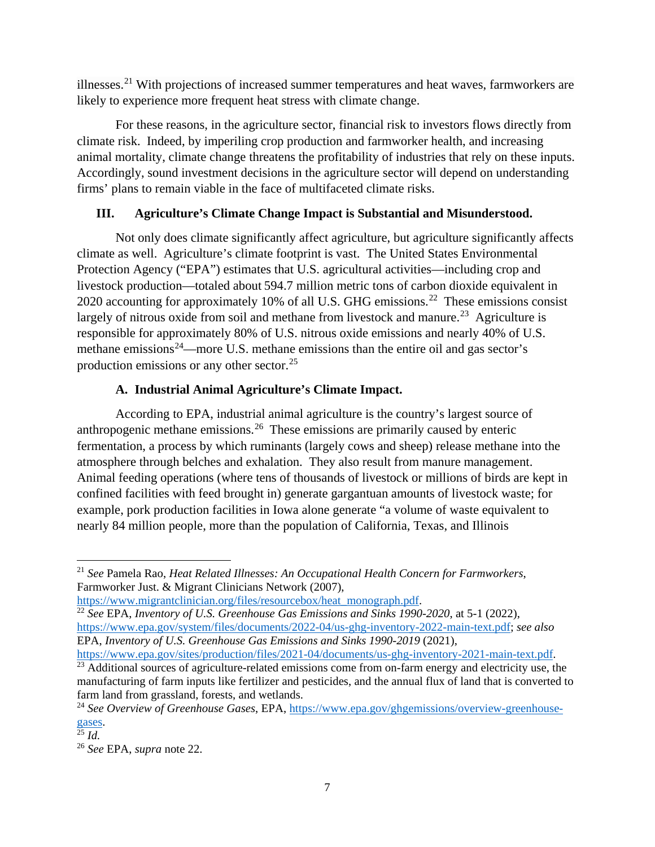illnesses.[21](#page-6-0) With projections of increased summer temperatures and heat waves, farmworkers are likely to experience more frequent heat stress with climate change.

For these reasons, in the agriculture sector, financial risk to investors flows directly from climate risk. Indeed, by imperiling crop production and farmworker health, and increasing animal mortality, climate change threatens the profitability of industries that rely on these inputs. Accordingly, sound investment decisions in the agriculture sector will depend on understanding firms' plans to remain viable in the face of multifaceted climate risks.

# **III. Agriculture's Climate Change Impact is Substantial and Misunderstood.**

Not only does climate significantly affect agriculture, but agriculture significantly affects climate as well. Agriculture's climate footprint is vast. The United States Environmental Protection Agency ("EPA") estimates that U.S. agricultural activities—including crop and livestock production—totaled about 594.7 million metric tons of carbon dioxide equivalent in 2020 accounting for approximately 10% of all U.S. GHG emissions.<sup>[22](#page-6-1)</sup> These emissions consist largely of nitrous oxide from soil and methane from livestock and manure.<sup>[23](#page-6-2)</sup> Agriculture is responsible for approximately 80% of U.S. nitrous oxide emissions and nearly 40% of U.S. methane emissions<sup>24</sup>—more U.S. methane emissions than the entire oil and gas sector's production emissions or any other sector.[25](#page-6-4)

# **A. Industrial Animal Agriculture's Climate Impact.**

According to EPA, industrial animal agriculture is the country's largest source of anthropogenic methane emissions.<sup>[26](#page-6-5)</sup> These emissions are primarily caused by enteric fermentation, a process by which ruminants (largely cows and sheep) release methane into the atmosphere through belches and exhalation. They also result from manure management. Animal feeding operations (where tens of thousands of livestock or millions of birds are kept in confined facilities with feed brought in) generate gargantuan amounts of livestock waste; for example, pork production facilities in Iowa alone generate "a volume of waste equivalent to nearly 84 million people, more than the population of California, Texas, and Illinois

<span id="page-6-1"></span><sup>22</sup> See EPA, *Inventory of U.S. Greenhouse Gas Emissions and Sinks 1990-2020*, at 5-1 (2022), [https://www.epa.gov/system/files/documents/2022-04/us-ghg-inventory-2022-main-text.pdf;](https://www.epa.gov/system/files/documents/2022-04/us-ghg-inventory-2022-main-text.pdf) *see also* EPA, *Inventory of U.S. Greenhouse Gas Emissions and Sinks 1990-2019 (2021)*,

<span id="page-6-0"></span><sup>21</sup> *See* Pamela Rao, *Heat Related Illnesses: An Occupational Health Concern for Farmworkers*, Farmworker Just. & Migrant Clinicians Network (2007),

[https://www.migrantclinician.org/files/resourcebox/heat\\_monograph.pdf.](https://www.migrantclinician.org/files/resourcebox/heat_monograph.pdf)

[https://www.epa.gov/sites/production/files/2021-04/documents/us-ghg-inventory-2021-main-text.pdf.](https://www.epa.gov/sites/production/files/2021-04/documents/us-ghg-inventory-2021-main-text.pdf)

<span id="page-6-2"></span><sup>&</sup>lt;sup>23</sup> Additional sources of agriculture-related emissions come from on-farm energy and electricity use, the manufacturing of farm inputs like fertilizer and pesticides, and the annual flux of land that is converted to farm land from grassland, forests, and wetlands.

<span id="page-6-3"></span><sup>24</sup> *See Overview of Greenhouse Gases*, EPA, [https://www.epa.gov/ghgemissions/overview-greenhouse-](https://www.epa.gov/ghgemissions/overview-greenhouse-gases) $\frac{\text{gases}}{25}$ *Id.* 

<span id="page-6-5"></span><span id="page-6-4"></span><sup>26</sup> *See* EPA, *supra* note 22.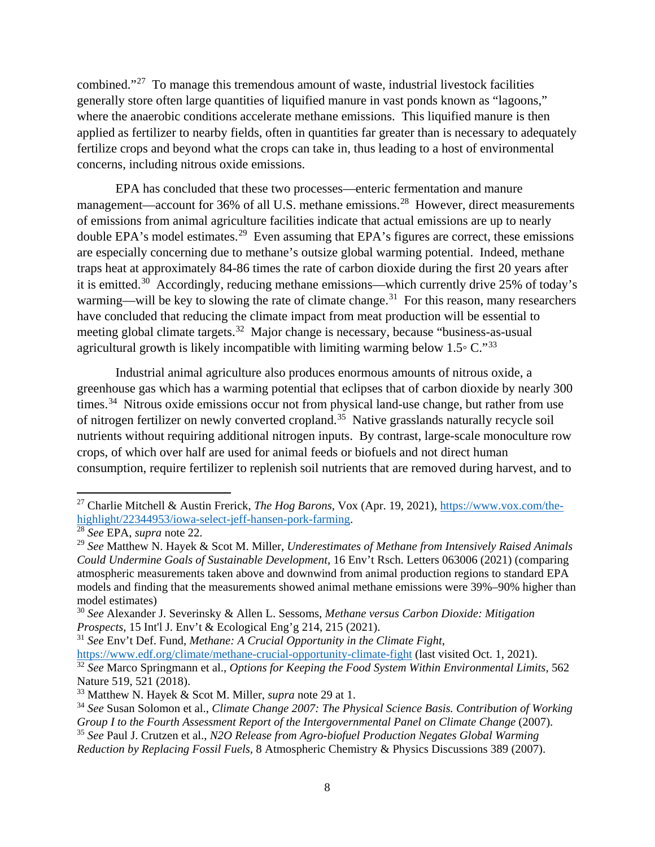combined."[27](#page-7-0) To manage this tremendous amount of waste, industrial livestock facilities generally store often large quantities of liquified manure in vast ponds known as "lagoons," where the anaerobic conditions accelerate methane emissions. This liquified manure is then applied as fertilizer to nearby fields, often in quantities far greater than is necessary to adequately fertilize crops and beyond what the crops can take in, thus leading to a host of environmental concerns, including nitrous oxide emissions.

EPA has concluded that these two processes—enteric fermentation and manure management—account for 36% of all U.S. methane emissions.<sup>[28](#page-7-1)</sup> However, direct measurements of emissions from animal agriculture facilities indicate that actual emissions are up to nearly double EPA's model estimates.<sup>[29](#page-7-2)</sup> Even assuming that EPA's figures are correct, these emissions are especially concerning due to methane's outsize global warming potential. Indeed, methane traps heat at approximately 84-86 times the rate of carbon dioxide during the first 20 years after it is emitted.[30](#page-7-3) Accordingly, reducing methane emissions—which currently drive 25% of today's warming—will be key to slowing the rate of climate change.<sup>31</sup> For this reason, many researchers have concluded that reducing the climate impact from meat production will be essential to meeting global climate targets.<sup>[32](#page-7-5)</sup> Major change is necessary, because "business-as-usual agricultural growth is likely incompatible with limiting warming below  $1.5\degree$  C."<sup>[33](#page-7-6)</sup>

Industrial animal agriculture also produces enormous amounts of nitrous oxide, a greenhouse gas which has a warming potential that eclipses that of carbon dioxide by nearly 300 times.<sup>34</sup> Nitrous oxide emissions occur not from physical land-use change, but rather from use of nitrogen fertilizer on newly converted cropland.<sup>35</sup> Native grasslands naturally recycle soil nutrients without requiring additional nitrogen inputs. By contrast, large-scale monoculture row crops, of which over half are used for animal feeds or biofuels and not direct human consumption, require fertilizer to replenish soil nutrients that are removed during harvest, and to

<span id="page-7-0"></span><sup>27</sup> Charlie Mitchell & Austin Frerick, *The Hog Barons*, Vox (Apr. 19, 2021), [https://www.vox.com/the](https://www.vox.com/the-highlight/22344953/iowa-select-jeff-hansen-pork-farming)[highlight/22344953/iowa-select-jeff-hansen-pork-farming.](https://www.vox.com/the-highlight/22344953/iowa-select-jeff-hansen-pork-farming)

<span id="page-7-1"></span><sup>28</sup> *See* EPA, *supra* note 22.

<span id="page-7-2"></span><sup>29</sup> *See* Matthew N. Hayek & Scot M. Miller, *Underestimates of Methane from Intensively Raised Animals Could Undermine Goals of Sustainable Development*, 16 Env't Rsch. Letters 063006 (2021) (comparing atmospheric measurements taken above and downwind from animal production regions to standard EPA models and finding that the measurements showed animal methane emissions were 39%–90% higher than model estimates)

<span id="page-7-3"></span><sup>30</sup> *See* Alexander J. Severinsky & Allen L. Sessoms, *Methane versus Carbon Dioxide: Mitigation Prospects*, 15 Int'l J. Env't & Ecological Eng'g 214, 215 (2021).

<span id="page-7-4"></span><sup>31</sup> *See* Env't Def. Fund, *Methane: A Crucial Opportunity in the Climate Fight*,

<span id="page-7-5"></span><https://www.edf.org/climate/methane-crucial-opportunity-climate-fight> (last visited Oct. 1, 2021). <sup>32</sup> *See* Marco Springmann et al., *Options for Keeping the Food System Within Environmental Limits*, 562 Nature 519, 521 (2018).

<span id="page-7-6"></span><sup>33</sup> Matthew N. Hayek & Scot M. Miller, *supra* note 29 at 1.

<span id="page-7-7"></span><sup>34</sup> *See* Susan Solomon et al., *Climate Change 2007: The Physical Science Basis. Contribution of Working Group I to the Fourth Assessment Report of the Intergovernmental Panel on Climate Change* (2007).

<span id="page-7-8"></span><sup>35</sup> *See* Paul J. Crutzen et al., *N2O Release from Agro-biofuel Production Negates Global Warming* 

*Reduction by Replacing Fossil Fuels,* 8 Atmospheric Chemistry & Physics Discussions 389 (2007).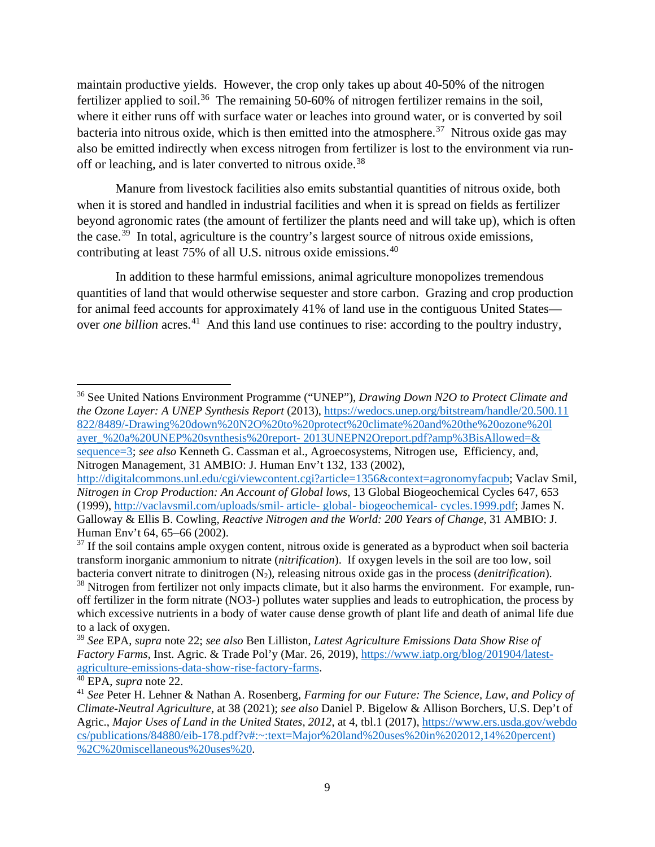maintain productive yields. However, the crop only takes up about 40-50% of the nitrogen fertilizer applied to soil.<sup>36</sup> The remaining 50-60% of nitrogen fertilizer remains in the soil, where it either runs off with surface water or leaches into ground water, or is converted by soil bacteria into nitrous oxide, which is then emitted into the atmosphere.<sup>37</sup> Nitrous oxide gas may also be emitted indirectly when excess nitrogen from fertilizer is lost to the environment via run-off or leaching, and is later converted to nitrous oxide.<sup>[38](#page-8-2)</sup>

Manure from livestock facilities also emits substantial quantities of nitrous oxide, both when it is stored and handled in industrial facilities and when it is spread on fields as fertilizer beyond agronomic rates (the amount of fertilizer the plants need and will take up), which is often the case.<sup>39</sup> In total, agriculture is the country's largest source of nitrous oxide emissions, contributing at least 75% of all U.S. nitrous oxide emissions.[40](#page-8-4)

In addition to these harmful emissions, animal agriculture monopolizes tremendous quantities of land that would otherwise sequester and store carbon. Grazing and crop production for animal feed accounts for approximately 41% of land use in the contiguous United States over *one billion* acres.<sup>[41](#page-8-5)</sup> And this land use continues to rise: according to the poultry industry,

<span id="page-8-0"></span><sup>36</sup> See United Nations Environment Programme ("UNEP"), *Drawing Down N2O to Protect Climate and the Ozone Layer: A UNEP Synthesis Report* (2013), [https://wedocs.unep.org/bitstream/handle/20.500.11](https://wedocs.unep.org/bitstream/handle/20.500.11822/8489/-%C2%A0Drawing%20down%20N2O%20to%20protect%20climate%20and%20the%20ozone%20layer_%20a%20UNEP%20synthesis%20report-%C2%A02013UNEPN2Oreport.pdf?amp%3BisAllowed=&sequence=3)  [822/8489/-Drawing%20down%20N2O%20to%20protect%20climate%20and%20the%20ozone%20l](https://wedocs.unep.org/bitstream/handle/20.500.11822/8489/-%C2%A0Drawing%20down%20N2O%20to%20protect%20climate%20and%20the%20ozone%20layer_%20a%20UNEP%20synthesis%20report-%C2%A02013UNEPN2Oreport.pdf?amp%3BisAllowed=&sequence=3) ayer\_%20a%20UNEP%20synthesis%20report- [2013UNEPN2Oreport.pdf?amp%3BisAllowed=&](https://wedocs.unep.org/bitstream/handle/20.500.11822/8489/-%C2%A0Drawing%20down%20N2O%20to%20protect%20climate%20and%20the%20ozone%20layer_%20a%20UNEP%20synthesis%20report-%C2%A02013UNEPN2Oreport.pdf?amp%3BisAllowed=&sequence=3) [sequence=3;](https://wedocs.unep.org/bitstream/handle/20.500.11822/8489/-%C2%A0Drawing%20down%20N2O%20to%20protect%20climate%20and%20the%20ozone%20layer_%20a%20UNEP%20synthesis%20report-%C2%A02013UNEPN2Oreport.pdf?amp%3BisAllowed=&sequence=3) *see also* Kenneth G. Cassman et al., Agroecosystems, Nitrogen use, Efficiency, and, Nitrogen Management, 31 AMBIO: J. Human Env't 132, 133 (2002),

[http://digitalcommons.unl.edu/cgi/viewcontent.cgi?article=1356&context=agronomyfacpub;](http://digitalcommons.unl.edu/cgi/viewcontent.cgi?article=1356&context=agronomyfacpub) Vaclav Smil, *Nitrogen in Crop Production: An Account of Global lows*, 13 Global Biogeochemical Cycles 647, 653 (1999), [http://vaclavsmil.com/uploads/smil-](http://vaclavsmil.com/uploads/smil-%20article-%20global-%20biogeochemical-%20cycles.1999.pdf) article- global- biogeochemical- cycles.1999.pdf; James N. Galloway & Ellis B. Cowling, *Reactive Nitrogen and the World: 200 Years of Change*, 31 AMBIO: J. Human Env't 64, 65–66 (2002).

<span id="page-8-1"></span> $37$  If the soil contains ample oxygen content, nitrous oxide is generated as a byproduct when soil bacteria transform inorganic ammonium to nitrate (*nitrification*). If oxygen levels in the soil are too low, soil bacteria convert nitrate to dinitrogen (N2), releasing nitrous oxide gas in the process (*denitrification*).

<span id="page-8-2"></span><sup>&</sup>lt;sup>38</sup> Nitrogen from fertilizer not only impacts climate, but it also harms the environment. For example, runoff fertilizer in the form nitrate (NO3-) pollutes water supplies and leads to eutrophication, the process by which excessive nutrients in a body of water cause dense growth of plant life and death of animal life due to a lack of oxygen.

<span id="page-8-3"></span><sup>39</sup> *See* EPA, *supra* note 22; *see also* Ben Lilliston, *Latest Agriculture Emissions Data Show Rise of Factory Farms*, Inst. Agric. & Trade Pol'y (Mar. 26, 2019), [https://www.iatp.org/blog/201904/latest](https://www.iatp.org/blog/201904/latest-agriculture-emissions-data-show-rise-factory-farms)[agriculture-emissions-data-show-rise-factory-farms.](https://www.iatp.org/blog/201904/latest-agriculture-emissions-data-show-rise-factory-farms)

<span id="page-8-4"></span><sup>40</sup> EPA, *supra* note 22.

<span id="page-8-5"></span><sup>41</sup> *See* Peter H. Lehner & Nathan A. Rosenberg, *Farming for our Future: The Science, Law, and Policy of Climate-Neutral Agriculture,* at 38 (2021); *see also* Daniel P. Bigelow & Allison Borchers, U.S. Dep't of Agric., *Major Uses of Land in the United States, 2012*, at 4, tbl.1 (2017), [https://www.ers.usda.gov/webdo](https://www.ers.usda.gov/webdocs/publications/84880/eib-178.pdf?v#:%7E:text=Major%20land%20uses%20in%202012,14%20percent)%2C%20miscellaneous%20uses%20) [cs/publications/84880/eib-178.pdf?v#:~:text=Major%20land%20uses%20in%202012,14%20percent\)](https://www.ers.usda.gov/webdocs/publications/84880/eib-178.pdf?v#:%7E:text=Major%20land%20uses%20in%202012,14%20percent)%2C%20miscellaneous%20uses%20) [%2C%20miscellaneous%20uses%20.](https://www.ers.usda.gov/webdocs/publications/84880/eib-178.pdf?v#:%7E:text=Major%20land%20uses%20in%202012,14%20percent)%2C%20miscellaneous%20uses%20)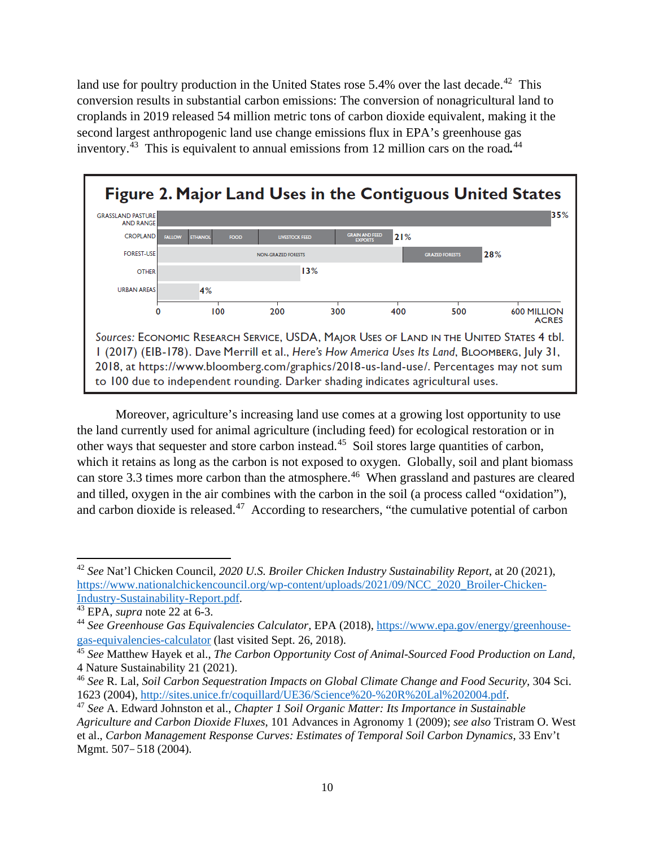land use for poultry production in the United States rose  $5.4\%$  over the last decade.<sup>[42](#page-9-0)</sup> This conversion results in substantial carbon emissions: The conversion of nonagricultural land to croplands in 2019 released 54 million metric tons of carbon dioxide equivalent, making it the second largest anthropogenic land use change emissions flux in EPA's greenhouse gas inventory.[43](#page-9-1) This is equivalent to annual emissions from 12 million cars on the road*.* [44](#page-9-2)



Moreover, agriculture's increasing land use comes at a growing lost opportunity to use the land currently used for animal agriculture (including feed) for ecological restoration or in other ways that sequester and store carbon instead.<sup>45</sup> Soil stores large quantities of carbon, which it retains as long as the carbon is not exposed to oxygen. Globally, soil and plant biomass can store 3.3 times more carbon than the atmosphere.<sup>[46](#page-9-4)</sup> When grassland and pastures are cleared and tilled, oxygen in the air combines with the carbon in the soil (a process called "oxidation"), and carbon dioxide is released.<sup>[47](#page-9-5)</sup> According to researchers, "the cumulative potential of carbon

<span id="page-9-0"></span><sup>42</sup> *See* Nat'l Chicken Council, *2020 U.S. Broiler Chicken Industry Sustainability Report*, at 20 (2021), [https://www.nationalchickencouncil.org/wp-content/uploads/2021/09/NCC\\_2020\\_Broiler-Chicken-](https://www.nationalchickencouncil.org/wp-content/uploads/2021/09/NCC_2020_Broiler-Chicken-Industry-Sustainability-Report.pdf)[Industry-Sustainability-Report.pdf.](https://www.nationalchickencouncil.org/wp-content/uploads/2021/09/NCC_2020_Broiler-Chicken-Industry-Sustainability-Report.pdf)

<span id="page-9-1"></span><sup>43</sup> EPA, *supra* note 22 at 6-3.

<span id="page-9-2"></span><sup>44</sup> *See Greenhouse Gas Equivalencies Calculator,* EPA (2018), [https://www.epa.gov/energy/greenhouse](https://www.epa.gov/energy/greenhouse-gas-equivalencies-calculator)[gas-equivalencies-calculator](https://www.epa.gov/energy/greenhouse-gas-equivalencies-calculator) (last visited Sept. 26, 2018).

<span id="page-9-3"></span><sup>45</sup> *See* Matthew Hayek et al., *The Carbon Opportunity Cost of Animal-Sourced Food Production on Land*, 4 Nature Sustainability 21 (2021).

<span id="page-9-4"></span><sup>46</sup> *See* R. Lal, *Soil Carbon Sequestration Impacts on Global Climate Change and Food Security,* 304 Sci. 1623 (2004), [http://sites.unice.fr/coquillard/UE36/Science%20-%20R%20Lal%202004.pdf.](http://sites.unice.fr/coquillard/UE36/Science%20-%20R%20Lal%202004.pdf)

<span id="page-9-5"></span><sup>47</sup> *See* A. Edward Johnston et al., *Chapter 1 Soil Organic Matter: Its Importance in Sustainable Agriculture and Carbon Dioxide Fluxes*, 101 Advances in Agronomy 1 (2009); *see also* Tristram O. West et al., *Carbon Management Response Curves: Estimates of Temporal Soil Carbon Dynamics*, 33 Env't Mgmt. 507*–*518 (2004).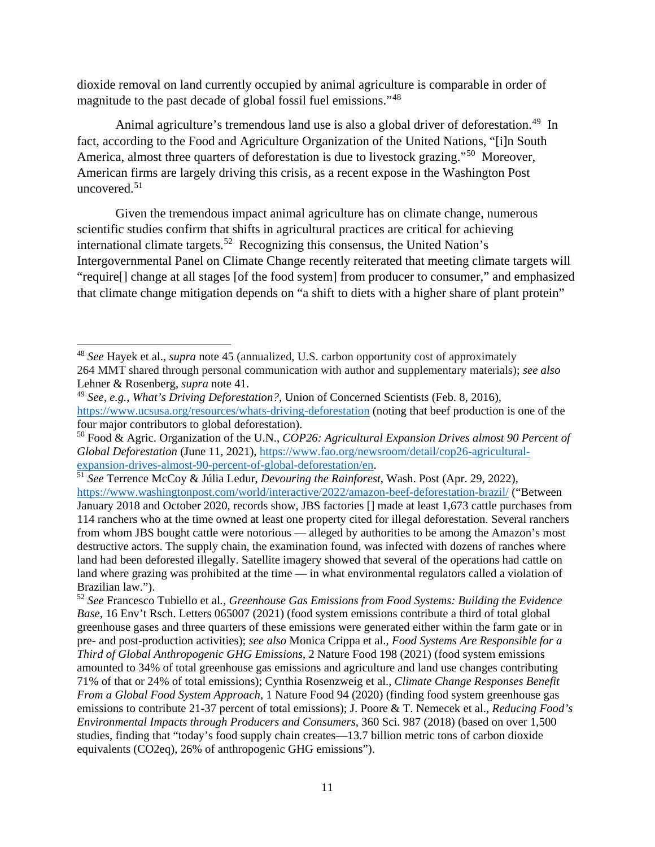dioxide removal on land currently occupied by animal agriculture is comparable in order of magnitude to the past decade of global fossil fuel emissions."[48](#page-10-0)

Animal agriculture's tremendous land use is also a global driver of deforestation.<sup>[49](#page-10-1)</sup> In fact, according to the Food and Agriculture Organization of the United Nations, "[i]n South America, almost three quarters of deforestation is due to livestock grazing."[50](#page-10-2) Moreover, American firms are largely driving this crisis, as a recent expose in the Washington Post uncovered.<sup>51</sup>

Given the tremendous impact animal agriculture has on climate change, numerous scientific studies confirm that shifts in agricultural practices are critical for achieving international climate targets.<sup>[52](#page-10-4)</sup> Recognizing this consensus, the United Nation's Intergovernmental Panel on Climate Change recently reiterated that meeting climate targets will "require[] change at all stages [of the food system] from producer to consumer," and emphasized that climate change mitigation depends on "a shift to diets with a higher share of plant protein"

<span id="page-10-0"></span><sup>48</sup> *See* Hayek et al., *supra* note 45 (annualized, U.S. carbon opportunity cost of approximately 264 MMT shared through personal communication with author and supplementary materials); *see also*  Lehner & Rosenberg, *supra* note 41.

<span id="page-10-1"></span><sup>49</sup> *See, e.g.*, *What's Driving Deforestation?,* Union of Concerned Scientists (Feb. 8, 2016), <https://www.ucsusa.org/resources/whats-driving-deforestation> (noting that beef production is one of the four major contributors to global deforestation).

<span id="page-10-2"></span><sup>50</sup> Food & Agric. Organization of the U.N., *COP26: Agricultural Expansion Drives almost 90 Percent of Global Deforestation* (June 11, 2021), [https://www.fao.org/newsroom/detail/cop26-agricultural](https://www.fao.org/newsroom/detail/cop26-agricultural-expansion-drives-almost-90-percent-of-global-deforestation/en)[expansion-drives-almost-90-percent-of-global-deforestation/en.](https://www.fao.org/newsroom/detail/cop26-agricultural-expansion-drives-almost-90-percent-of-global-deforestation/en)

<span id="page-10-3"></span><sup>51</sup> *See* Terrence McCoy & Júlia Ledur, *Devouring the Rainforest*, Wash. Post (Apr. 29, 2022), <https://www.washingtonpost.com/world/interactive/2022/amazon-beef-deforestation-brazil/> ("Between

January 2018 and October 2020, records show, JBS factories [] made at least 1,673 cattle purchases from 114 ranchers who at the time owned at least one property cited for illegal deforestation. Several ranchers from whom JBS bought cattle were notorious — alleged by authorities to be among the Amazon's most destructive actors. The supply chain, the examination found, was infected with dozens of ranches where land had been deforested illegally. Satellite imagery showed that several of the operations had cattle on land where grazing was prohibited at the time — in what environmental regulators called a violation of Brazilian law.").<br><sup>52</sup> *See* Francesco Tubiello et al., *Greenhouse Gas Emissions from Food Systems: Building the Evidence* 

<span id="page-10-4"></span>*Base*, 16 Env't Rsch. Letters 065007 (2021) (food system emissions contribute a third of total global greenhouse gases and three quarters of these emissions were generated either within the farm gate or in pre- and post-production activities); *see also* Monica Crippa et al., *Food Systems Are Responsible for a Third of Global Anthropogenic GHG Emissions*, 2 Nature Food 198 (2021) (food system emissions amounted to 34% of total greenhouse gas emissions and agriculture and land use changes contributing 71% of that or 24% of total emissions); Cynthia Rosenzweig et al., *Climate Change Responses Benefit From a Global Food System Approach*, 1 Nature Food 94 (2020) (finding food system greenhouse gas emissions to contribute 21-37 percent of total emissions); J. Poore & T. Nemecek et al., *Reducing Food's Environmental Impacts through Producers and Consumers*, 360 Sci. 987 (2018) (based on over 1,500 studies, finding that "today's food supply chain creates—13.7 billion metric tons of carbon dioxide equivalents (CO2eq), 26% of anthropogenic GHG emissions").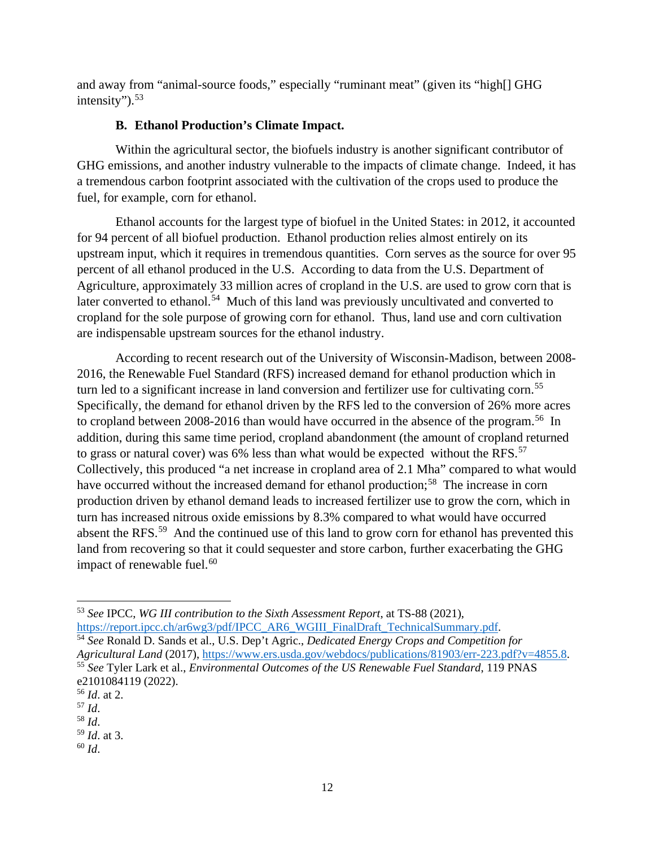and away from "animal-source foods," especially "ruminant meat" (given its "high[] GHG intensity").  $53$ 

### **B. Ethanol Production's Climate Impact.**

Within the agricultural sector, the biofuels industry is another significant contributor of GHG emissions, and another industry vulnerable to the impacts of climate change. Indeed, it has a tremendous carbon footprint associated with the cultivation of the crops used to produce the fuel, for example, corn for ethanol.

Ethanol accounts for the largest type of biofuel in the United States: in 2012, it accounted for 94 percent of all biofuel production. Ethanol production relies almost entirely on its upstream input, which it requires in tremendous quantities. Corn serves as the source for over 95 percent of all ethanol produced in the U.S. According to data from the U.S. Department of Agriculture, approximately 33 million acres of cropland in the U.S. are used to grow corn that is later converted to ethanol.<sup>54</sup> Much of this land was previously uncultivated and converted to cropland for the sole purpose of growing corn for ethanol. Thus, land use and corn cultivation are indispensable upstream sources for the ethanol industry.

According to recent research out of the University of Wisconsin-Madison, between 2008- 2016, the Renewable Fuel Standard (RFS) increased demand for ethanol production which in turn led to a significant increase in land conversion and fertilizer use for cultivating corn.<sup>[55](#page-11-2)</sup> Specifically, the demand for ethanol driven by the RFS led to the conversion of 26% more acres to cropland between 2008-2016 than would have occurred in the absence of the program.<sup>[56](#page-11-3)</sup> In addition, during this same time period, cropland abandonment (the amount of cropland returned to grass or natural cover) was 6% less than what would be expected without the RFS.<sup>57</sup> Collectively, this produced "a net increase in cropland area of 2.1 Mha" compared to what would have occurred without the increased demand for ethanol production;<sup>[58](#page-11-5)</sup> The increase in corn production driven by ethanol demand leads to increased fertilizer use to grow the corn, which in turn has increased nitrous oxide emissions by 8.3% compared to what would have occurred absent the RFS.<sup>[59](#page-11-6)</sup> And the continued use of this land to grow corn for ethanol has prevented this land from recovering so that it could sequester and store carbon, further exacerbating the GHG impact of renewable fuel.<sup>[60](#page-11-7)</sup>

<span id="page-11-0"></span>l <sup>53</sup> *See* IPCC, *WG III contribution to the Sixth Assessment Report*, at TS-88 (2021), https://report.ipcc.ch/ar6wg3/pdf/IPCC\_AR6\_WGIII\_FinalDraft\_TechnicalSummary.pdf.

<span id="page-11-2"></span><span id="page-11-1"></span><sup>&</sup>lt;sup>54</sup> See Ronald D. Sands et al., U.S. Dep't Agric., *Dedicated Energy Crops and Competition for Agricultural Land* (2017), [https://www.ers.usda.gov/webdocs/publications/81903/err-223.pdf?v=4855.8.](https://www.ers.usda.gov/webdocs/publications/81903/err-223.pdf?v=4855.8) <sup>55</sup> *See* Tyler Lark et al., *Environmental Outcomes of the US Renewable Fuel Standard*, 119 PNAS e2101084119 (2022).

<span id="page-11-3"></span><sup>56</sup> *Id*. at 2.

<span id="page-11-4"></span><sup>57</sup> *Id*.

<span id="page-11-5"></span><sup>58</sup> *Id*.

<span id="page-11-6"></span><sup>59</sup> *Id*. at 3.

<span id="page-11-7"></span><sup>60</sup> *Id*.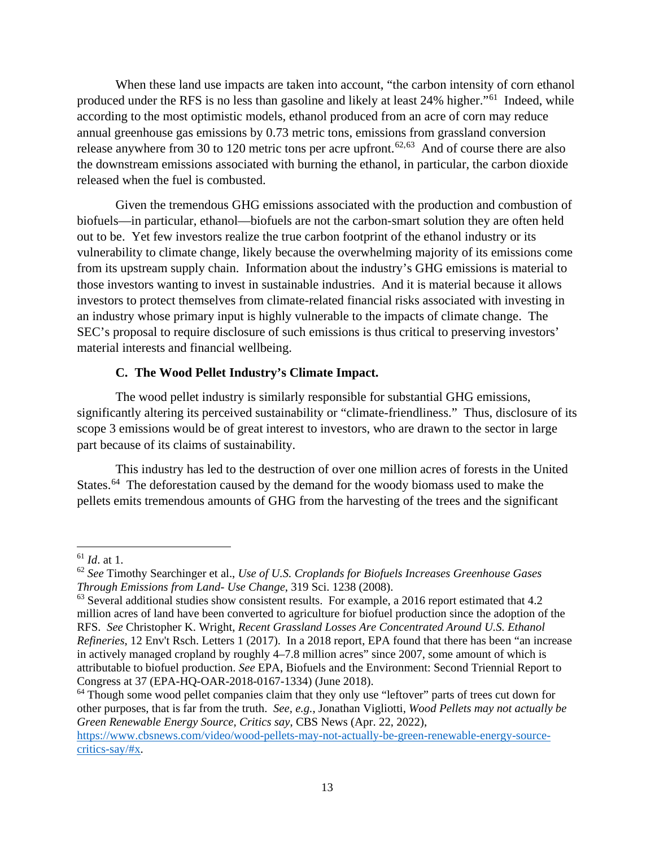When these land use impacts are taken into account, "the carbon intensity of corn ethanol produced under the RFS is no less than gasoline and likely at least 24% higher."[61](#page-12-0) Indeed, while according to the most optimistic models, ethanol produced from an acre of corn may reduce annual greenhouse gas emissions by 0.73 metric tons, emissions from grassland conversion release anywhere from 30 to 120 metric tons per acre upfront.<sup>[62](#page-12-1),63</sup> And of course there are also the downstream emissions associated with burning the ethanol, in particular, the carbon dioxide released when the fuel is combusted.

Given the tremendous GHG emissions associated with the production and combustion of biofuels—in particular, ethanol—biofuels are not the carbon-smart solution they are often held out to be. Yet few investors realize the true carbon footprint of the ethanol industry or its vulnerability to climate change, likely because the overwhelming majority of its emissions come from its upstream supply chain. Information about the industry's GHG emissions is material to those investors wanting to invest in sustainable industries. And it is material because it allows investors to protect themselves from climate-related financial risks associated with investing in an industry whose primary input is highly vulnerable to the impacts of climate change. The SEC's proposal to require disclosure of such emissions is thus critical to preserving investors' material interests and financial wellbeing.

#### **C. The Wood Pellet Industry's Climate Impact.**

The wood pellet industry is similarly responsible for substantial GHG emissions, significantly altering its perceived sustainability or "climate-friendliness." Thus, disclosure of its scope 3 emissions would be of great interest to investors, who are drawn to the sector in large part because of its claims of sustainability.

This industry has led to the destruction of over one million acres of forests in the United States.<sup>[64](#page-12-3)</sup> The deforestation caused by the demand for the woody biomass used to make the pellets emits tremendous amounts of GHG from the harvesting of the trees and the significant

<span id="page-12-0"></span><sup>61</sup> *Id*. at 1.

<span id="page-12-1"></span><sup>62</sup> *See* Timothy Searchinger et al., *Use of U.S. Croplands for Biofuels Increases Greenhouse Gases Through Emissions from Land- Use Change*, 319 Sci. 1238 (2008).

<span id="page-12-2"></span> $63$  Several additional studies show consistent results. For example, a 2016 report estimated that 4.2 million acres of land have been converted to agriculture for biofuel production since the adoption of the RFS. *See* Christopher K. Wright, *Recent Grassland Losses Are Concentrated Around U.S. Ethanol Refineries*, 12 Env't Rsch. Letters 1 (2017). In a 2018 report, EPA found that there has been "an increase in actively managed cropland by roughly 4–7.8 million acres" since 2007, some amount of which is attributable to biofuel production. *See* EPA, Biofuels and the Environment: Second Triennial Report to Congress at 37 (EPA-HQ-OAR-2018-0167-1334) (June 2018).

<span id="page-12-3"></span><sup>&</sup>lt;sup>64</sup> Though some wood pellet companies claim that they only use "leftover" parts of trees cut down for other purposes, that is far from the truth. *See, e.g.*, Jonathan Vigliotti, *Wood Pellets may not actually be Green Renewable Energy Source, Critics say*, CBS News (Apr. 22, 2022),

[https://www.cbsnews.com/video/wood-pellets-may-not-actually-be-green-renewable-energy-source](https://www.cbsnews.com/video/wood-pellets-may-not-actually-be-green-renewable-energy-source-critics-say/#x)[critics-say/#x.](https://www.cbsnews.com/video/wood-pellets-may-not-actually-be-green-renewable-energy-source-critics-say/#x)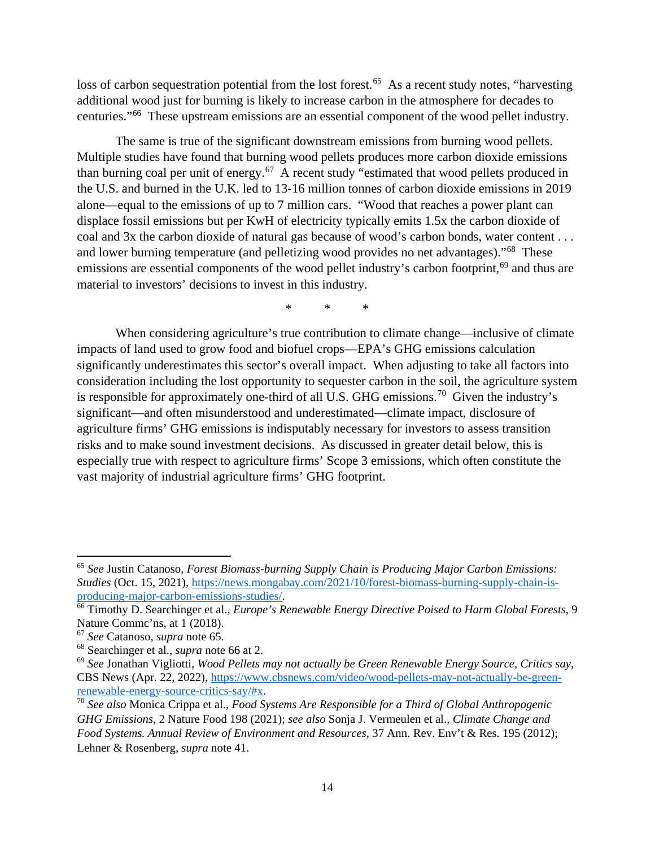loss of carbon sequestration potential from the lost forest.<sup>65</sup> As a recent study notes, "harvesting" additional wood just for burning is likely to increase carbon in the atmosphere for decades to centuries."[66](#page-13-1) These upstream emissions are an essential component of the wood pellet industry.

The same is true of the significant downstream emissions from burning wood pellets. Multiple studies have found that burning wood pellets produces more carbon dioxide emissions than burning coal per unit of energy.[67](#page-13-2) A recent study "estimated that wood pellets produced in the U.S. and burned in the U.K. led to 13-16 million tonnes of carbon dioxide emissions in 2019 alone—equal to the emissions of up to 7 million cars. "Wood that reaches a power plant can displace fossil emissions but per KwH of electricity typically emits 1.5x the carbon dioxide of coal and 3x the carbon dioxide of natural gas because of wood's carbon bonds, water content . . . and lower burning temperature (and pelletizing wood provides no net advantages)."[68](#page-13-3) These emissions are essential components of the wood pellet industry's carbon footprint,<sup>[69](#page-13-4)</sup> and thus are material to investors' decisions to invest in this industry.

\* \* \*

When considering agriculture's true contribution to climate change—inclusive of climate impacts of land used to grow food and biofuel crops—EPA's GHG emissions calculation significantly underestimates this sector's overall impact. When adjusting to take all factors into consideration including the lost opportunity to sequester carbon in the soil, the agriculture system is responsible for approximately one-third of all U.S. GHG emissions.<sup>[70](#page-13-5)</sup> Given the industry's significant—and often misunderstood and underestimated—climate impact, disclosure of agriculture firms' GHG emissions is indisputably necessary for investors to assess transition risks and to make sound investment decisions. As discussed in greater detail below, this is especially true with respect to agriculture firms' Scope 3 emissions, which often constitute the vast majority of industrial agriculture firms' GHG footprint.

<span id="page-13-0"></span><sup>65</sup> *See* Justin Catanoso, *Forest Biomass-burning Supply Chain is Producing Major Carbon Emissions: Studies* (Oct. 15, 2021), [https://news.mongabay.com/2021/10/forest-biomass-burning-supply-chain-is](https://news.mongabay.com/2021/10/forest-biomass-burning-supply-chain-is-producing-major-carbon-emissions-studies/)[producing-major-carbon-emissions-studies/.](https://news.mongabay.com/2021/10/forest-biomass-burning-supply-chain-is-producing-major-carbon-emissions-studies/)

<span id="page-13-1"></span><sup>66</sup> Timothy D. Searchinger et al., *Europe's Renewable Energy Directive Poised to Harm Global Forests*, 9 Nature Commc'ns, at 1 (2018).<br><sup>67</sup> *See* Catanoso, *supra* note 65.<br><sup>68</sup> Searchinger et al., *supra* note 66 at 2.

<span id="page-13-2"></span>

<span id="page-13-4"></span><span id="page-13-3"></span><sup>&</sup>lt;sup>69</sup> See Jonathan Vigliotti, *Wood Pellets may not actually be Green Renewable Energy Source, Critics say,* CBS News (Apr. 22, 2022), [https://www.cbsnews.com/video/wood-pellets-may-not-actually-be-green](https://www.cbsnews.com/video/wood-pellets-may-not-actually-be-green-renewable-energy-source-critics-say/#x)[renewable-energy-source-critics-say/#x.](https://www.cbsnews.com/video/wood-pellets-may-not-actually-be-green-renewable-energy-source-critics-say/#x)

<span id="page-13-5"></span><sup>70</sup> *See also* Monica Crippa et al., *Food Systems Are Responsible for a Third of Global Anthropogenic GHG Emissions*, 2 Nature Food 198 (2021); *see also* Sonja J. Vermeulen et al., *Climate Change and Food Systems. Annual Review of Environment and Resources*, 37 Ann. Rev. Env't & Res. 195 (2012); Lehner & Rosenberg, *supra* note 41.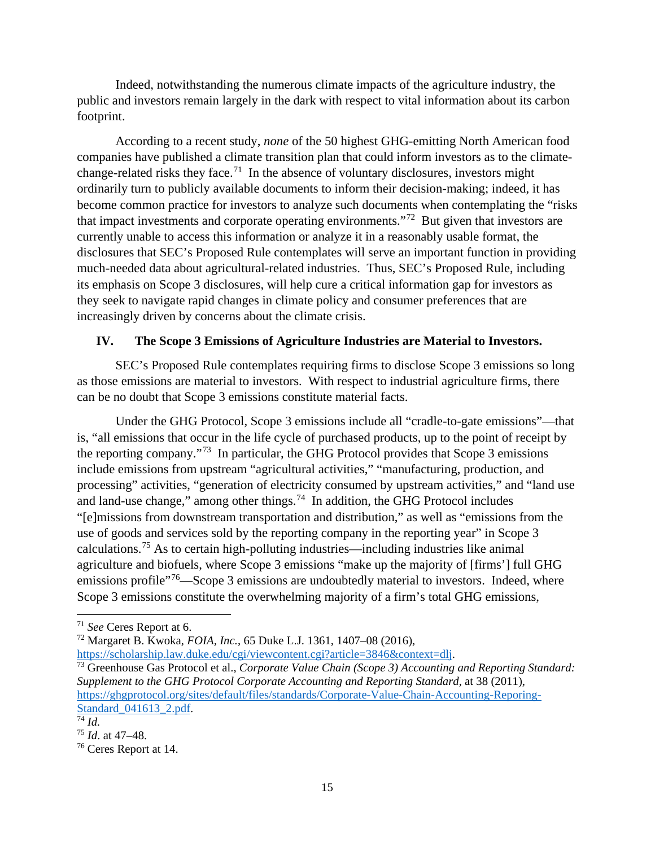Indeed, notwithstanding the numerous climate impacts of the agriculture industry, the public and investors remain largely in the dark with respect to vital information about its carbon footprint.

According to a recent study, *none* of the 50 highest GHG-emitting North American food companies have published a climate transition plan that could inform investors as to the climate-change-related risks they face.<sup>[71](#page-14-0)</sup> In the absence of voluntary disclosures, investors might ordinarily turn to publicly available documents to inform their decision-making; indeed, it has become common practice for investors to analyze such documents when contemplating the "risks that impact investments and corporate operating environments."[72](#page-14-1) But given that investors are currently unable to access this information or analyze it in a reasonably usable format, the disclosures that SEC's Proposed Rule contemplates will serve an important function in providing much-needed data about agricultural-related industries. Thus, SEC's Proposed Rule, including its emphasis on Scope 3 disclosures, will help cure a critical information gap for investors as they seek to navigate rapid changes in climate policy and consumer preferences that are increasingly driven by concerns about the climate crisis.

# **IV. The Scope 3 Emissions of Agriculture Industries are Material to Investors.**

SEC's Proposed Rule contemplates requiring firms to disclose Scope 3 emissions so long as those emissions are material to investors. With respect to industrial agriculture firms, there can be no doubt that Scope 3 emissions constitute material facts.

Under the GHG Protocol, Scope 3 emissions include all "cradle-to-gate emissions"—that is, "all emissions that occur in the life cycle of purchased products, up to the point of receipt by the reporting company."[73](#page-14-2) In particular, the GHG Protocol provides that Scope 3 emissions include emissions from upstream "agricultural activities," "manufacturing, production, and processing" activities, "generation of electricity consumed by upstream activities," and "land use and land-use change," among other things.<sup>[74](#page-14-3)</sup> In addition, the GHG Protocol includes "[e]missions from downstream transportation and distribution," as well as "emissions from the use of goods and services sold by the reporting company in the reporting year" in Scope 3 calculations.[75](#page-14-4) As to certain high-polluting industries—including industries like animal agriculture and biofuels, where Scope 3 emissions "make up the majority of [firms'] full GHG emissions profile<sup>"[76](#page-14-5)</sup>—Scope 3 emissions are undoubtedly material to investors. Indeed, where Scope 3 emissions constitute the overwhelming majority of a firm's total GHG emissions,

[https://scholarship.law.duke.edu/cgi/viewcontent.cgi?article=3846&context=dlj.](https://scholarship.law.duke.edu/cgi/viewcontent.cgi?article=3846&context=dlj)

<span id="page-14-0"></span><sup>71</sup> *See* Ceres Report at 6.

<span id="page-14-1"></span><sup>72</sup> Margaret B. Kwoka, *FOIA, Inc.*, 65 Duke L.J. 1361, 1407–08 (2016),

<span id="page-14-2"></span><sup>73</sup> Greenhouse Gas Protocol et al., *Corporate Value Chain (Scope 3) Accounting and Reporting Standard: Supplement to the GHG Protocol Corporate Accounting and Reporting Standard*, at 38 (2011), [https://ghgprotocol.org/sites/default/files/standards/Corporate-Value-Chain-Accounting-Reporing-](https://ghgprotocol.org/sites/default/files/standards/Corporate-Value-Chain-Accounting-Reporing-Standard_041613_2.pdf)[Standard\\_041613\\_2.pdf.](https://ghgprotocol.org/sites/default/files/standards/Corporate-Value-Chain-Accounting-Reporing-Standard_041613_2.pdf) [74](https://ghgprotocol.org/sites/default/files/standards/Corporate-Value-Chain-Accounting-Reporing-Standard_041613_2.pdf) *Id.* 

<span id="page-14-3"></span>

<span id="page-14-4"></span><sup>75</sup> *Id*. at 47–48.

<span id="page-14-5"></span><sup>76</sup> Ceres Report at 14.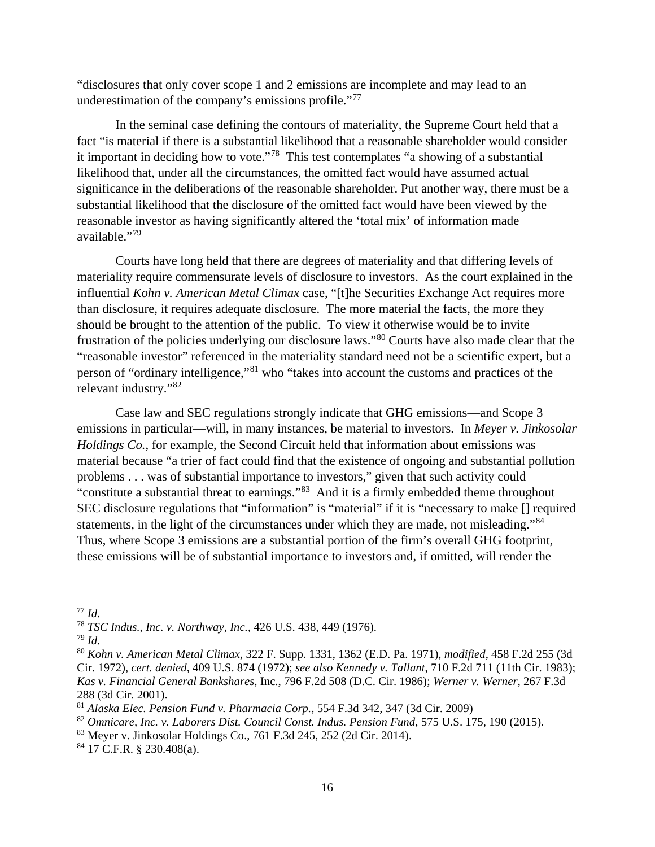"disclosures that only cover scope 1 and 2 emissions are incomplete and may lead to an underestimation of the company's emissions profile."<sup>[77](#page-15-0)</sup>

In the seminal case defining the contours of materiality, the Supreme Court held that a fact "is material if there is a substantial likelihood that a reasonable shareholder would consider it important in deciding how to vote."[78](#page-15-1) This test contemplates "a showing of a substantial likelihood that, under all the circumstances, the omitted fact would have assumed actual significance in the deliberations of the reasonable shareholder. Put another way, there must be a substantial likelihood that the disclosure of the omitted fact would have been viewed by the reasonable investor as having significantly altered the 'total mix' of information made available."[79](#page-15-2)

Courts have long held that there are degrees of materiality and that differing levels of materiality require commensurate levels of disclosure to investors. As the court explained in the influential *Kohn v. American Metal Climax* case, "[t]he Securities Exchange Act requires more than disclosure, it requires adequate disclosure. The more material the facts, the more they should be brought to the attention of the public. To view it otherwise would be to invite frustration of the policies underlying our disclosure laws."[80](#page-15-3) Courts have also made clear that the "reasonable investor" referenced in the materiality standard need not be a scientific expert, but a person of "ordinary intelligence,"[81](#page-15-4) who "takes into account the customs and practices of the relevant industry."[82](#page-15-5)

Case law and SEC regulations strongly indicate that GHG emissions—and Scope 3 emissions in particular—will, in many instances, be material to investors. In *Meyer v. Jinkosolar Holdings Co.*, for example, the Second Circuit held that information about emissions was material because "a trier of fact could find that the existence of ongoing and substantial pollution problems . . . was of substantial importance to investors," given that such activity could "constitute a substantial threat to earnings."[83](#page-15-6) And it is a firmly embedded theme throughout SEC disclosure regulations that "information" is "material" if it is "necessary to make [] required statements, in the light of the circumstances under which they are made, not misleading."[84](#page-15-7) Thus, where Scope 3 emissions are a substantial portion of the firm's overall GHG footprint, these emissions will be of substantial importance to investors and, if omitted, will render the

<span id="page-15-0"></span><sup>77</sup> *Id.*

<span id="page-15-1"></span><sup>78</sup> *TSC Indus., Inc. v. Northway, Inc.*, 426 U.S. 438, 449 (1976).

<span id="page-15-2"></span><sup>79</sup> *Id.*

<span id="page-15-3"></span><sup>80</sup> *Kohn v. American Metal Climax*, 322 F. Supp. 1331, 1362 (E.D. Pa. 1971), *modified*, 458 F.2d 255 (3d Cir. 1972), *cert. denied*, 409 U.S. 874 (1972); *see also Kennedy v. Tallant*, 710 F.2d 711 (11th Cir. 1983); *Kas v. Financial General Bankshares*, Inc., 796 F.2d 508 (D.C. Cir. 1986); *Werner v. Werner*, 267 F.3d 288 (3d Cir. 2001).

<span id="page-15-4"></span><sup>81</sup> *Alaska Elec. Pension Fund v. Pharmacia Corp.*, 554 F.3d 342, 347 (3d Cir. 2009)

<span id="page-15-5"></span><sup>82</sup> *Omnicare, Inc. v. Laborers Dist. Council Const. Indus. Pension Fund*, 575 U.S. 175, 190 (2015).

<span id="page-15-6"></span><sup>&</sup>lt;sup>83</sup> Meyer v. Jinkosolar Holdings Co., 761 F.3d 245, 252 (2d Cir. 2014).<br><sup>84</sup> 17 C.F.R. § 230.408(a).

<span id="page-15-7"></span>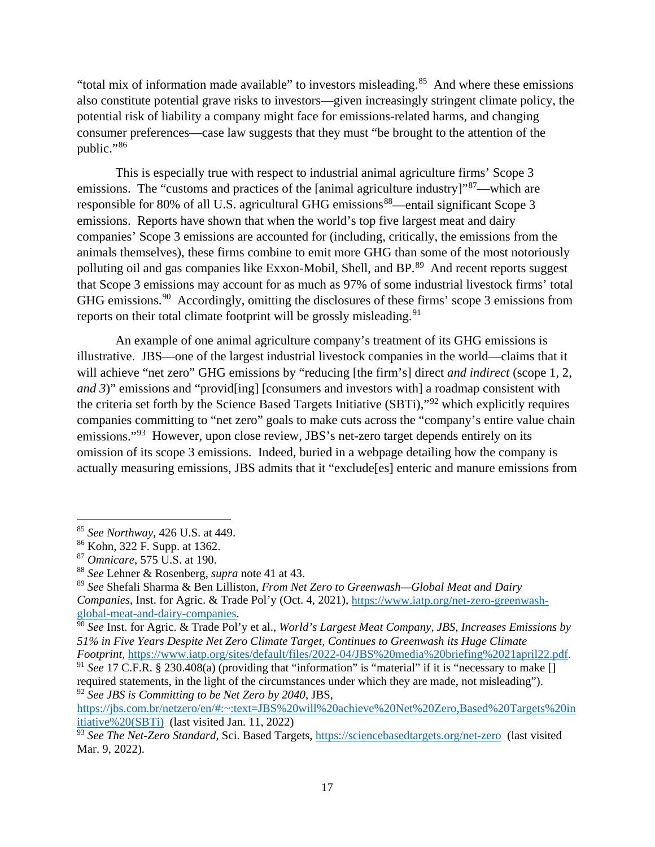"total mix of information made available" to investors misleading.<sup>[85](#page-16-0)</sup> And where these emissions also constitute potential grave risks to investors—given increasingly stringent climate policy, the potential risk of liability a company might face for emissions-related harms, and changing consumer preferences—case law suggests that they must "be brought to the attention of the public."<sup>86</sup>

This is especially true with respect to industrial animal agriculture firms' Scope 3 emissions. The "customs and practices of the [animal agriculture industry]"<sup>[87](#page-16-2)</sup>—which are responsible for 80% of all U.S. agricultural GHG emissions<sup>[88](#page-16-3)</sup>—entail significant Scope 3 emissions. Reports have shown that when the world's top five largest meat and dairy companies' Scope 3 emissions are accounted for (including, critically, the emissions from the animals themselves), these firms combine to emit more GHG than some of the most notoriously polluting oil and gas companies like Exxon-Mobil, Shell, and BP.<sup>[89](#page-16-4)</sup> And recent reports suggest that Scope 3 emissions may account for as much as 97% of some industrial livestock firms' total GHG emissions.[90](#page-16-5) Accordingly, omitting the disclosures of these firms' scope 3 emissions from reports on their total climate footprint will be grossly misleading.<sup>91</sup>

An example of one animal agriculture company's treatment of its GHG emissions is illustrative. JBS—one of the largest industrial livestock companies in the world—claims that it will achieve "net zero" GHG emissions by "reducing [the firm's] direct *and indirect* (scope 1, 2, *and 3*)" emissions and "provid[ing] [consumers and investors with] a roadmap consistent with the criteria set forth by the Science Based Targets Initiative (SBTi),"[92](#page-16-7) which explicitly requires companies committing to "net zero" goals to make cuts across the "company's entire value chain emissions."<sup>[93](#page-16-8)</sup> However, upon close review, JBS's net-zero target depends entirely on its omission of its scope 3 emissions. Indeed, buried in a webpage detailing how the company is actually measuring emissions, JBS admits that it "exclude[es] enteric and manure emissions from

<span id="page-16-0"></span><sup>85</sup> *See Northway*, 426 U.S. at 449.

<span id="page-16-1"></span><sup>86</sup> Kohn, 322 F. Supp. at 1362.

<span id="page-16-2"></span><sup>87</sup> *Omnicare*, 575 U.S. at 190.

<span id="page-16-3"></span><sup>88</sup> *See* Lehner & Rosenberg, *supra* note 41 at 43.

<span id="page-16-4"></span><sup>89</sup> *See* Shefali Sharma & Ben Lilliston, *From Net Zero to Greenwash—Global Meat and Dairy Companies*, Inst. for Agric. & Trade Pol'y (Oct. 4, 2021), [https://www.iatp.org/net-zero-greenwash-](https://www.iatp.org/net-zero-greenwash-global-meat-and-dairy-companies)

<span id="page-16-5"></span>[global-meat-and-dairy-companies.](https://www.iatp.org/net-zero-greenwash-global-meat-and-dairy-companies) 90 *See* Inst. for Agric. & Trade Pol'y et al., *World's Largest Meat Company, JBS, Increases Emissions by 51% in Five Years Despite Net Zero Climate Target, Continues to Greenwash its Huge Climate Footprint*, [https://www.iatp.org/sites/default/files/2022-04/JBS%20media%20briefing%2021april22.pdf.](https://www.iatp.org/sites/default/files/2022-04/JBS%20media%20briefing%2021april22.pdf)

<span id="page-16-6"></span><sup>&</sup>lt;sup>91</sup> See 17 C.F.R. § 230.408(a) (providing that "information" is "material" if it is "necessary to make [] required statements, in the light of the circumstances under which they are made, not misleading"). <sup>92</sup> *See JBS is Committing to be Net Zero by 2040*, JBS,

<span id="page-16-7"></span>[https://jbs.com.br/netzero/en/#:~:text=JBS%20will%20achieve%20Net%20Zero,Based%20Targets%20in](https://jbs.com.br/netzero/en/#:%7E:text=JBS%20will%20achieve%20Net%20Zero,Based%20Targets%20initiative%20(SBTi)) [itiative%20\(SBTi\)](https://jbs.com.br/netzero/en/#:%7E:text=JBS%20will%20achieve%20Net%20Zero,Based%20Targets%20initiative%20(SBTi)) (last visited Jan. 11, 2022)

<span id="page-16-8"></span><sup>&</sup>lt;sup>93</sup> See The Net-Zero Standard, Sci. Based Targets,<https://sciencebasedtargets.org/net-zero>(last visited Mar. 9, 2022).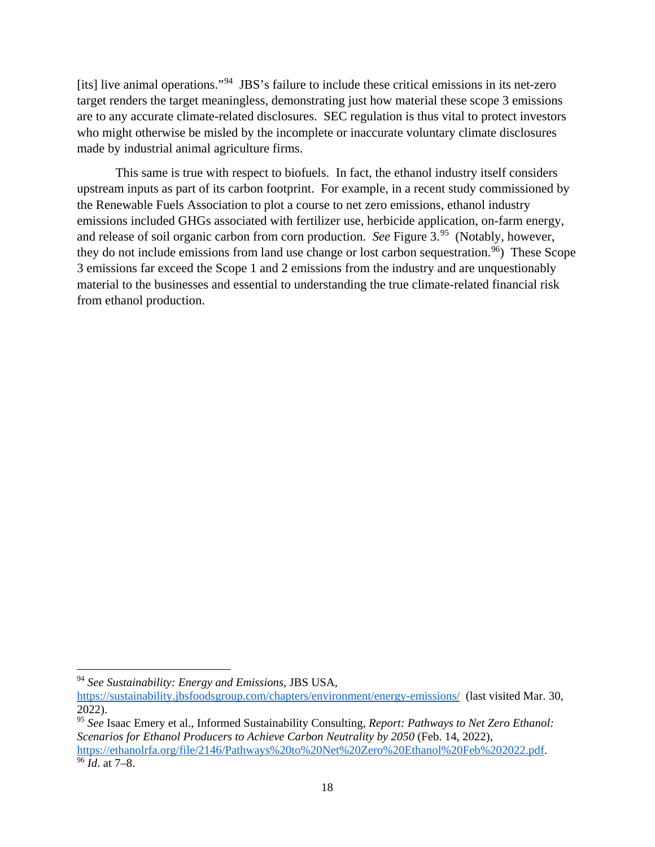[its] live animal operations."[94](#page-17-0) JBS's failure to include these critical emissions in its net-zero target renders the target meaningless, demonstrating just how material these scope 3 emissions are to any accurate climate-related disclosures. SEC regulation is thus vital to protect investors who might otherwise be misled by the incomplete or inaccurate voluntary climate disclosures made by industrial animal agriculture firms.

This same is true with respect to biofuels. In fact, the ethanol industry itself considers upstream inputs as part of its carbon footprint. For example, in a recent study commissioned by the Renewable Fuels Association to plot a course to net zero emissions, ethanol industry emissions included GHGs associated with fertilizer use, herbicide application, on-farm energy, and release of soil organic carbon from corn production. *See* Figure 3. [95](#page-17-1) (Notably, however, they do not include emissions from land use change or lost carbon sequestration.<sup>[96](#page-17-2)</sup>) These Scope 3 emissions far exceed the Scope 1 and 2 emissions from the industry and are unquestionably material to the businesses and essential to understanding the true climate-related financial risk from ethanol production.

<span id="page-17-0"></span><sup>94</sup> *See Sustainability: Energy and Emissions*, JBS USA,

<https://sustainability.jbsfoodsgroup.com/chapters/environment/energy-emissions/>(last visited Mar. 30, 2022). 95 *See* Isaac Emery et al., Informed Sustainability Consulting, *Report: Pathways to Net Zero Ethanol:* 

<span id="page-17-2"></span><span id="page-17-1"></span>*Scenarios for Ethanol Producers to Achieve Carbon Neutrality by 2050* (Feb. 14, 2022), [https://ethanolrfa.org/file/2146/Pathways%20to%20Net%20Zero%20Ethanol%20Feb%202022.pdf.](https://ethanolrfa.org/file/2146/Pathways%20to%20Net%20Zero%20Ethanol%20Feb%202022.pdf) <sup>96</sup> *Id*. at 7–8.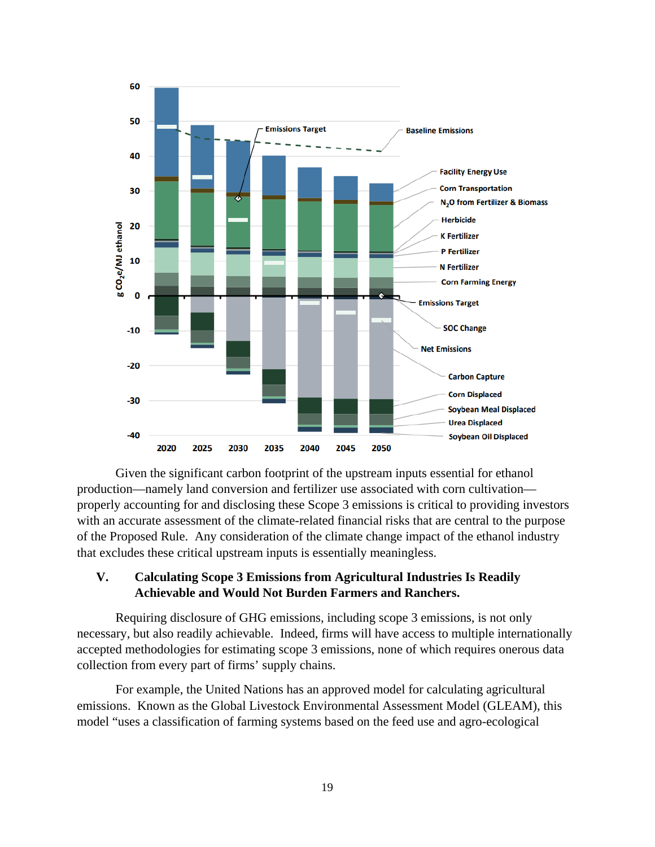

Given the significant carbon footprint of the upstream inputs essential for ethanol production—namely land conversion and fertilizer use associated with corn cultivation properly accounting for and disclosing these Scope 3 emissions is critical to providing investors with an accurate assessment of the climate-related financial risks that are central to the purpose of the Proposed Rule. Any consideration of the climate change impact of the ethanol industry that excludes these critical upstream inputs is essentially meaningless.

# **V. Calculating Scope 3 Emissions from Agricultural Industries Is Readily Achievable and Would Not Burden Farmers and Ranchers.**

Requiring disclosure of GHG emissions, including scope 3 emissions, is not only necessary, but also readily achievable. Indeed, firms will have access to multiple internationally accepted methodologies for estimating scope 3 emissions, none of which requires onerous data collection from every part of firms' supply chains.

For example, the United Nations has an approved model for calculating agricultural emissions. Known as the Global Livestock Environmental Assessment Model (GLEAM), this model "uses a classification of farming systems based on the feed use and agro-ecological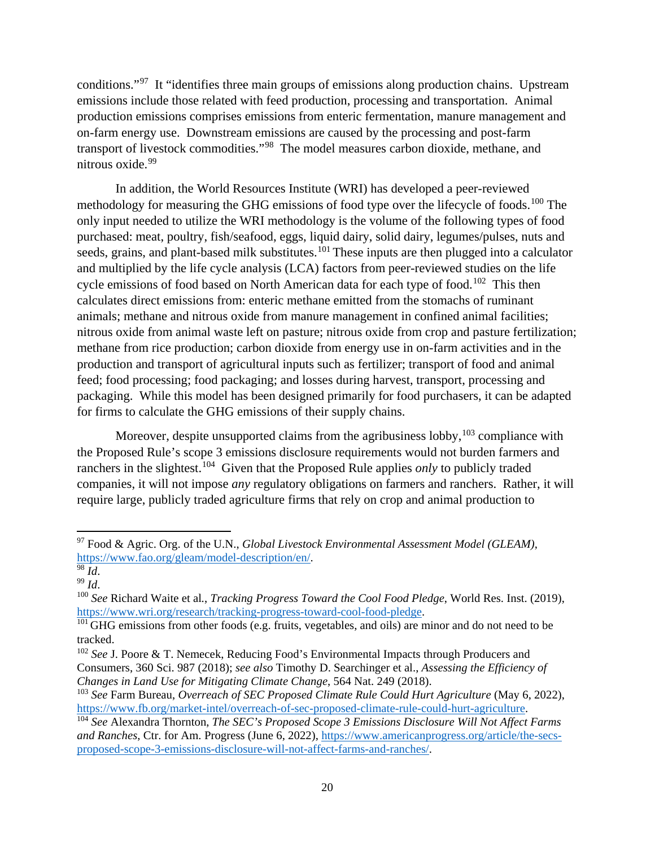conditions."[97](#page-19-0) It "identifies three main groups of emissions along production chains. Upstream emissions include those related with feed production, processing and transportation. Animal production emissions comprises emissions from enteric fermentation, manure management and on-farm energy use. Downstream emissions are caused by the processing and post-farm transport of livestock commodities."[98](#page-19-1) The model measures carbon dioxide, methane, and nitrous oxide. [99](#page-19-2)

In addition, the World Resources Institute (WRI) has developed a peer-reviewed methodology for measuring the GHG emissions of food type over the lifecycle of foods.<sup>[100](#page-19-3)</sup> The only input needed to utilize the WRI methodology is the volume of the following types of food purchased: meat, poultry, fish/seafood, eggs, liquid dairy, solid dairy, legumes/pulses, nuts and seeds, grains, and plant-based milk substitutes.<sup>[101](#page-19-4)</sup> These inputs are then plugged into a calculator and multiplied by the life cycle analysis (LCA) factors from peer-reviewed studies on the life cycle emissions of food based on North American data for each type of food.<sup>[102](#page-19-5)</sup> This then calculates direct emissions from: enteric methane emitted from the stomachs of ruminant animals; methane and nitrous oxide from manure management in confined animal facilities; nitrous oxide from animal waste left on pasture; nitrous oxide from crop and pasture fertilization; methane from rice production; carbon dioxide from energy use in on-farm activities and in the production and transport of agricultural inputs such as fertilizer; transport of food and animal feed; food processing; food packaging; and losses during harvest, transport, processing and packaging. While this model has been designed primarily for food purchasers, it can be adapted for firms to calculate the GHG emissions of their supply chains.

Moreover, despite unsupported claims from the agribusiness lobby,  $103$  compliance with the Proposed Rule's scope 3 emissions disclosure requirements would not burden farmers and ranchers in the slightest. [104](#page-19-7) Given that the Proposed Rule applies *only* to publicly traded companies, it will not impose *any* regulatory obligations on farmers and ranchers. Rather, it will require large, publicly traded agriculture firms that rely on crop and animal production to

<span id="page-19-0"></span><sup>97</sup> Food & Agric. Org. of the U.N., *Global Livestock Environmental Assessment Model (GLEAM)*, [https://www.fao.org/gleam/model-description/en/.](https://www.fao.org/gleam/model-description/en/)

<span id="page-19-2"></span><span id="page-19-1"></span> $\overline{^{98}$  *Id.* <sup>99</sup> *Id*.

<span id="page-19-3"></span><sup>100</sup> *See* Richard Waite et al*.*, *Tracking Progress Toward the Cool Food Pledge*, World Res. Inst. (2019), [https://www.wri.org/research/tracking-progress-toward-cool-food-pledge.](https://www.wri.org/research/tracking-progress-toward-cool-food-pledge)

<span id="page-19-4"></span><sup>&</sup>lt;sup>101</sup> GHG emissions from other foods (e.g. fruits, vegetables, and oils) are minor and do not need to be tracked.

<span id="page-19-5"></span><sup>&</sup>lt;sup>102</sup> *See* J. Poore & T. Nemecek, Reducing Food's Environmental Impacts through Producers and Consumers, 360 Sci. 987 (2018); *see also* Timothy D. Searchinger et al., *Assessing the Efficiency of Changes in Land Use for Mitigating Climate Change*, 564 Nat. 249 (2018).

<span id="page-19-6"></span><sup>103</sup> *See* Farm Bureau, *Overreach of SEC Proposed Climate Rule Could Hurt Agriculture* (May 6, 2022), [https://www.fb.org/market-intel/overreach-of-sec-proposed-climate-rule-could-hurt-agriculture.](https://www.fb.org/market-intel/overreach-of-sec-proposed-climate-rule-could-hurt-agriculture)

<span id="page-19-7"></span><sup>104</sup> *See* Alexandra Thornton, *The SEC's Proposed Scope 3 Emissions Disclosure Will Not Affect Farms and Ranches*, Ctr. for Am. Progress (June 6, 2022), [https://www.americanprogress.org/article/the-secs](https://www.americanprogress.org/article/the-secs-proposed-scope-3-emissions-disclosure-will-not-affect-farms-and-ranches/)[proposed-scope-3-emissions-disclosure-will-not-affect-farms-and-ranches/.](https://www.americanprogress.org/article/the-secs-proposed-scope-3-emissions-disclosure-will-not-affect-farms-and-ranches/)